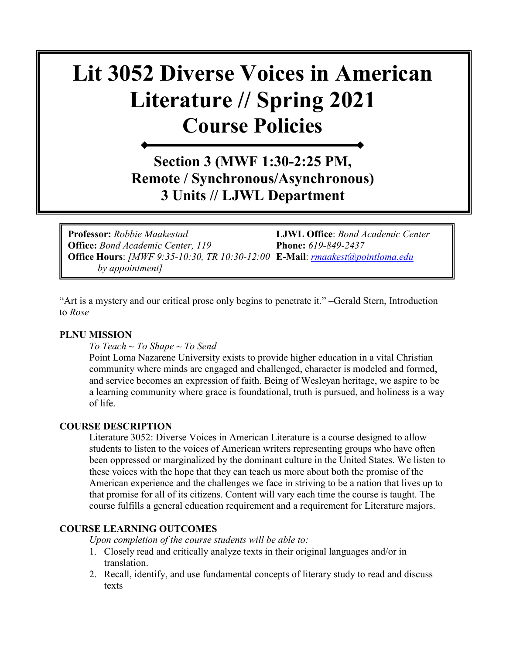# **Lit 3052 Diverse Voices in American Literature // Spring 2021 Course Policies**

### **Section 3 (MWF 1:30-2:25 PM, Remote / Synchronous/Asynchronous) 3 Units // LJWL Department**

**Professor:** *Robbie Maakestad* **LJWL Office**: *Bond Academic Center*  **Office:** *Bond Academic Center, 119* **Phone:** *619-849-2437* **Office Hours**: *[MWF 9:35-10:30, TR 10:30-12:00* **E-Mail**: *[rmaakest@pointloma.edu](mailto:rmaakest@pointloma.edu)  by appointment]*

"Art is a mystery and our critical prose only begins to penetrate it." –Gerald Stern, Introduction to *Rose*

#### **PLNU MISSION**

*To Teach ~ To Shape ~ To Send* 

Point Loma Nazarene University exists to provide higher education in a vital Christian community where minds are engaged and challenged, character is modeled and formed, and service becomes an expression of faith. Being of Wesleyan heritage, we aspire to be a learning community where grace is foundational, truth is pursued, and holiness is a way of life.

#### **COURSE DESCRIPTION**

Literature 3052: Diverse Voices in American Literature is a course designed to allow students to listen to the voices of American writers representing groups who have often been oppressed or marginalized by the dominant culture in the United States. We listen to these voices with the hope that they can teach us more about both the promise of the American experience and the challenges we face in striving to be a nation that lives up to that promise for all of its citizens. Content will vary each time the course is taught. The course fulfills a general education requirement and a requirement for Literature majors.

#### **COURSE LEARNING OUTCOMES**

*Upon completion of the course students will be able to:*

- 1. Closely read and critically analyze texts in their original languages and/or in translation.
- 2. Recall, identify, and use fundamental concepts of literary study to read and discuss texts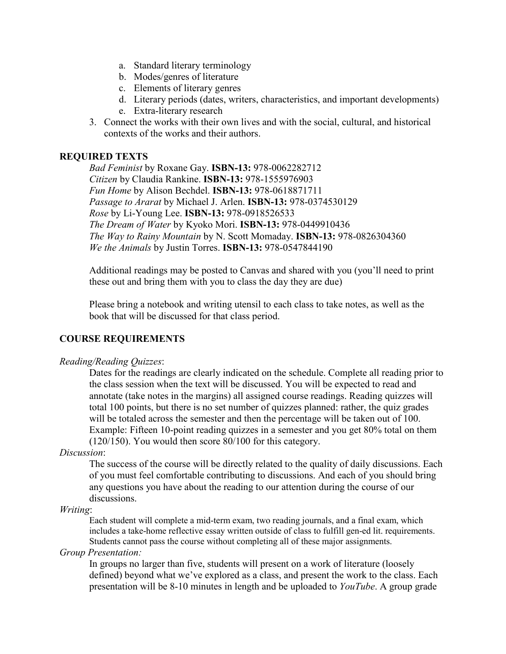- a. Standard literary terminology
- b. Modes/genres of literature
- c. Elements of literary genres
- d. Literary periods (dates, writers, characteristics, and important developments)
- e. Extra-literary research
- 3. Connect the works with their own lives and with the social, cultural, and historical contexts of the works and their authors.

#### **REQUIRED TEXTS**

*Bad Feminist* by Roxane Gay. **ISBN-13:** 978-0062282712 *Citizen* by Claudia Rankine. **ISBN-13:** 978-1555976903 *Fun Home* by Alison Bechdel. **ISBN-13:** 978-0618871711 *Passage to Ararat* by Michael J. Arlen. **ISBN-13:** 978-0374530129 *Rose* by Li-Young Lee. **ISBN-13:** 978-0918526533 *The Dream of Water* by Kyoko Mori. **ISBN-13:** 978-0449910436 *The Way to Rainy Mountain* by N. Scott Momaday. **ISBN-13:** 978-0826304360 *We the Animals* by Justin Torres. **ISBN-13:** 978-0547844190

Additional readings may be posted to Canvas and shared with you (you'll need to print these out and bring them with you to class the day they are due)

Please bring a notebook and writing utensil to each class to take notes, as well as the book that will be discussed for that class period.

#### **COURSE REQUIREMENTS**

#### *Reading/Reading Quizzes*:

Dates for the readings are clearly indicated on the schedule. Complete all reading prior to the class session when the text will be discussed. You will be expected to read and annotate (take notes in the margins) all assigned course readings. Reading quizzes will total 100 points, but there is no set number of quizzes planned: rather, the quiz grades will be totaled across the semester and then the percentage will be taken out of 100. Example: Fifteen 10-point reading quizzes in a semester and you get 80% total on them (120/150). You would then score 80/100 for this category.

#### *Discussion*:

The success of the course will be directly related to the quality of daily discussions. Each of you must feel comfortable contributing to discussions. And each of you should bring any questions you have about the reading to our attention during the course of our discussions.

#### *Writing*:

Each student will complete a mid-term exam, two reading journals, and a final exam, which includes a take-home reflective essay written outside of class to fulfill gen-ed lit. requirements. Students cannot pass the course without completing all of these major assignments.

#### *Group Presentation:*

In groups no larger than five, students will present on a work of literature (loosely defined) beyond what we've explored as a class, and present the work to the class. Each presentation will be 8-10 minutes in length and be uploaded to *YouTube*. A group grade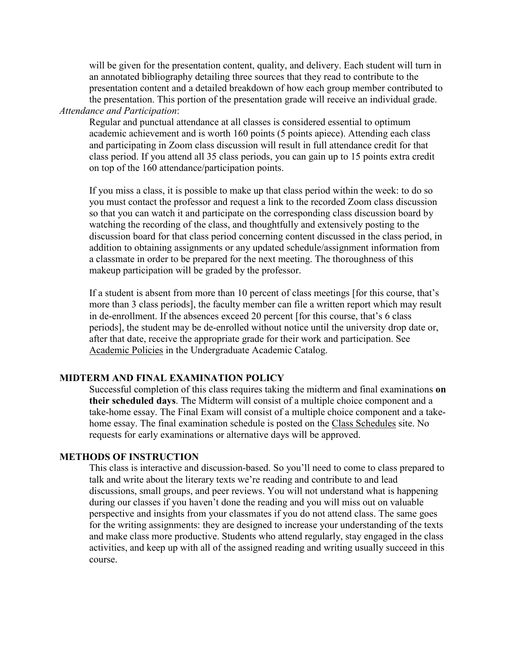will be given for the presentation content, quality, and delivery. Each student will turn in an annotated bibliography detailing three sources that they read to contribute to the presentation content and a detailed breakdown of how each group member contributed to the presentation. This portion of the presentation grade will receive an individual grade. *Attendance and Participation*:

Regular and punctual attendance at all classes is considered essential to optimum academic achievement and is worth 160 points (5 points apiece). Attending each class and participating in Zoom class discussion will result in full attendance credit for that class period. If you attend all 35 class periods, you can gain up to 15 points extra credit on top of the 160 attendance/participation points.

If you miss a class, it is possible to make up that class period within the week: to do so you must contact the professor and request a link to the recorded Zoom class discussion so that you can watch it and participate on the corresponding class discussion board by watching the recording of the class, and thoughtfully and extensively posting to the discussion board for that class period concerning content discussed in the class period, in addition to obtaining assignments or any updated schedule/assignment information from a classmate in order to be prepared for the next meeting. The thoroughness of this makeup participation will be graded by the professor.

If a student is absent from more than 10 percent of class meetings [for this course, that's more than 3 class periods], the faculty member can file a written report which may result in de-enrollment. If the absences exceed 20 percent [for this course, that's 6 class periods], the student may be de-enrolled without notice until the university drop date or, after that date, receive the appropriate grade for their work and participation. See [Academic Policies](http://catalog.pointloma.edu/content.php?catoid=18&navoid=1278) in the Undergraduate Academic Catalog.

#### **MIDTERM AND FINAL EXAMINATION POLICY**

Successful completion of this class requires taking the midterm and final examinations **on their scheduled days**. The Midterm will consist of a multiple choice component and a take-home essay. The Final Exam will consist of a multiple choice component and a takehome essay. The final examination schedule is posted on the [Class Schedules](http://www.pointloma.edu/experience/academics/class-schedules) site. No requests for early examinations or alternative days will be approved.

#### **METHODS OF INSTRUCTION**

This class is interactive and discussion-based. So you'll need to come to class prepared to talk and write about the literary texts we're reading and contribute to and lead discussions, small groups, and peer reviews. You will not understand what is happening during our classes if you haven't done the reading and you will miss out on valuable perspective and insights from your classmates if you do not attend class. The same goes for the writing assignments: they are designed to increase your understanding of the texts and make class more productive. Students who attend regularly, stay engaged in the class activities, and keep up with all of the assigned reading and writing usually succeed in this course.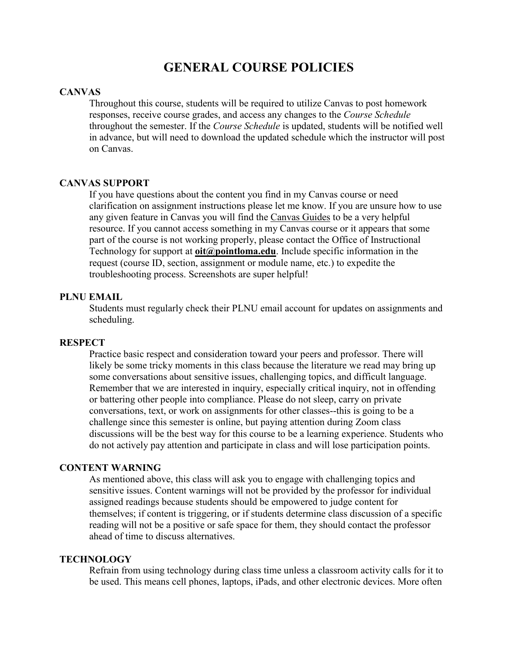### **GENERAL COURSE POLICIES**

#### **CANVAS**

Throughout this course, students will be required to utilize Canvas to post homework responses, receive course grades, and access any changes to the *Course Schedule* throughout the semester. If the *Course Schedule* is updated, students will be notified well in advance, but will need to download the updated schedule which the instructor will post on Canvas.

#### **CANVAS SUPPORT**

If you have questions about the content you find in my Canvas course or need clarification on assignment instructions please let me know. If you are unsure how to use any given feature in Canvas you will find the [Canvas Guides](https://community.canvaslms.com/community/answers/guides/) to be a very helpful resource. If you cannot access something in my Canvas course or it appears that some part of the course is not working properly, please contact the Office of Instructional Technology for support at **[oit@pointloma.edu](mailto:oit@pointloma.edu)**. Include specific information in the request (course ID, section, assignment or module name, etc.) to expedite the troubleshooting process. Screenshots are super helpful!

#### **PLNU EMAIL**

Students must regularly check their PLNU email account for updates on assignments and scheduling.

#### **RESPECT**

Practice basic respect and consideration toward your peers and professor. There will likely be some tricky moments in this class because the literature we read may bring up some conversations about sensitive issues, challenging topics, and difficult language. Remember that we are interested in inquiry, especially critical inquiry, not in offending or battering other people into compliance. Please do not sleep, carry on private conversations, text, or work on assignments for other classes--this is going to be a challenge since this semester is online, but paying attention during Zoom class discussions will be the best way for this course to be a learning experience. Students who do not actively pay attention and participate in class and will lose participation points.

#### **CONTENT WARNING**

As mentioned above, this class will ask you to engage with challenging topics and sensitive issues. Content warnings will not be provided by the professor for individual assigned readings because students should be empowered to judge content for themselves; if content is triggering, or if students determine class discussion of a specific reading will not be a positive or safe space for them, they should contact the professor ahead of time to discuss alternatives.

#### **TECHNOLOGY**

Refrain from using technology during class time unless a classroom activity calls for it to be used. This means cell phones, laptops, iPads, and other electronic devices. More often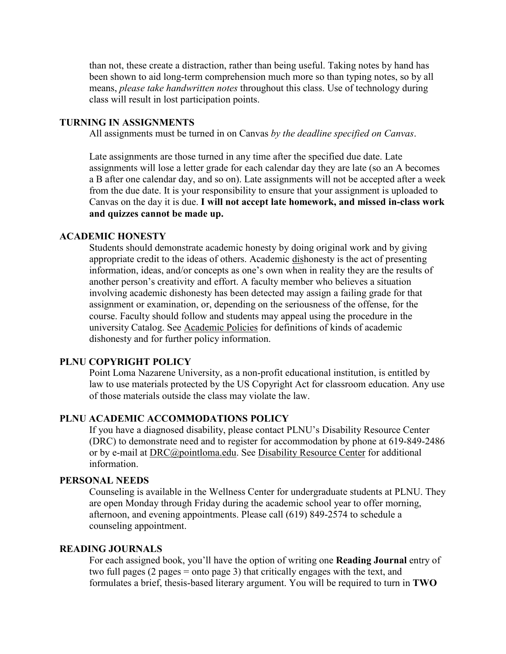than not, these create a distraction, rather than being useful. Taking notes by hand has been shown to aid long-term comprehension much more so than typing notes, so by all means, *please take handwritten notes* throughout this class. Use of technology during class will result in lost participation points.

#### **TURNING IN ASSIGNMENTS**

All assignments must be turned in on Canvas *by the deadline specified on Canvas*.

Late assignments are those turned in any time after the specified due date. Late assignments will lose a letter grade for each calendar day they are late (so an A becomes a B after one calendar day, and so on). Late assignments will not be accepted after a week from the due date. It is your responsibility to ensure that your assignment is uploaded to Canvas on the day it is due. **I will not accept late homework, and missed in-class work and quizzes cannot be made up.**

#### **ACADEMIC HONESTY**

Students should demonstrate academic honesty by doing original work and by giving appropriate credit to the ideas of others. Academic dishonesty is the act of presenting information, ideas, and/or concepts as one's own when in reality they are the results of another person's creativity and effort. A faculty member who believes a situation involving academic dishonesty has been detected may assign a failing grade for that assignment or examination, or, depending on the seriousness of the offense, for the course. Faculty should follow and students may appeal using the procedure in the university Catalog. See [Academic Policies](http://catalog.pointloma.edu/content.php?catoid=18&navoid=1278) for definitions of kinds of academic dishonesty and for further policy information.

#### **PLNU COPYRIGHT POLICY**

Point Loma Nazarene University, as a non-profit educational institution, is entitled by law to use materials protected by the US Copyright Act for classroom education. Any use of those materials outside the class may violate the law.

#### **PLNU ACADEMIC ACCOMMODATIONS POLICY**

If you have a diagnosed disability, please contact PLNU's Disability Resource Center (DRC) to demonstrate need and to register for accommodation by phone at 619-849-2486 or by e-mail at [DRC@pointloma.edu.](mailto:DRC@pointloma.edu) See [Disability Resource Center](http://www.pointloma.edu/experience/offices/administrative-offices/academic-advising-office/disability-resource-center) for additional information.

#### **PERSONAL NEEDS**

Counseling is available in the Wellness Center for undergraduate students at PLNU. They are open Monday through Friday during the academic school year to offer morning, afternoon, and evening appointments. Please call (619) 849-2574 to schedule a counseling appointment.

#### **READING JOURNALS**

For each assigned book, you'll have the option of writing one **Reading Journal** entry of two full pages (2 pages = onto page 3) that critically engages with the text, and formulates a brief, thesis-based literary argument. You will be required to turn in **TWO**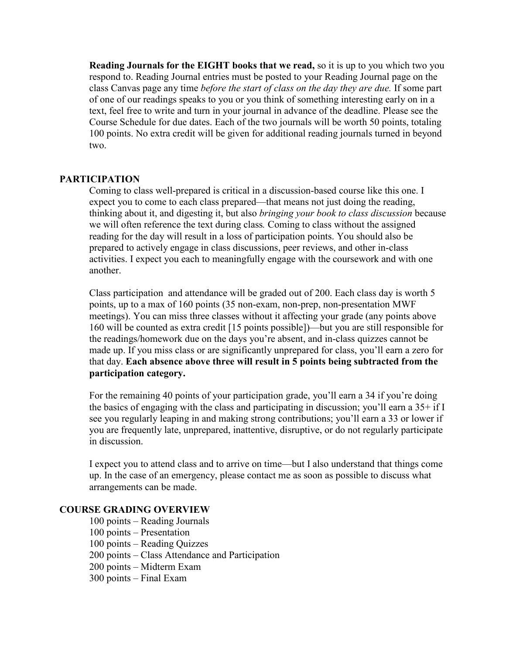**Reading Journals for the EIGHT books that we read,** so it is up to you which two you respond to. Reading Journal entries must be posted to your Reading Journal page on the class Canvas page any time *before the start of class on the day they are due.* If some part of one of our readings speaks to you or you think of something interesting early on in a text, feel free to write and turn in your journal in advance of the deadline. Please see the Course Schedule for due dates. Each of the two journals will be worth 50 points, totaling 100 points. No extra credit will be given for additional reading journals turned in beyond two.

#### **PARTICIPATION**

Coming to class well-prepared is critical in a discussion-based course like this one. I expect you to come to each class prepared—that means not just doing the reading, thinking about it, and digesting it, but also *bringing your book to class discussion* because we will often reference the text during class*.* Coming to class without the assigned reading for the day will result in a loss of participation points. You should also be prepared to actively engage in class discussions, peer reviews, and other in-class activities. I expect you each to meaningfully engage with the coursework and with one another.

Class participation and attendance will be graded out of 200. Each class day is worth 5 points, up to a max of 160 points (35 non-exam, non-prep, non-presentation MWF meetings). You can miss three classes without it affecting your grade (any points above 160 will be counted as extra credit [15 points possible])—but you are still responsible for the readings/homework due on the days you're absent, and in-class quizzes cannot be made up. If you miss class or are significantly unprepared for class, you'll earn a zero for that day. **Each absence above three will result in 5 points being subtracted from the participation category.** 

For the remaining 40 points of your participation grade, you'll earn a 34 if you're doing the basics of engaging with the class and participating in discussion; you'll earn a 35+ if I see you regularly leaping in and making strong contributions; you'll earn a 33 or lower if you are frequently late, unprepared, inattentive, disruptive, or do not regularly participate in discussion.

I expect you to attend class and to arrive on time—but I also understand that things come up. In the case of an emergency, please contact me as soon as possible to discuss what arrangements can be made.

#### **COURSE GRADING OVERVIEW**

100 points – Reading Journals 100 points – Presentation 100 points – Reading Quizzes 200 points – Class Attendance and Participation 200 points – Midterm Exam 300 points – Final Exam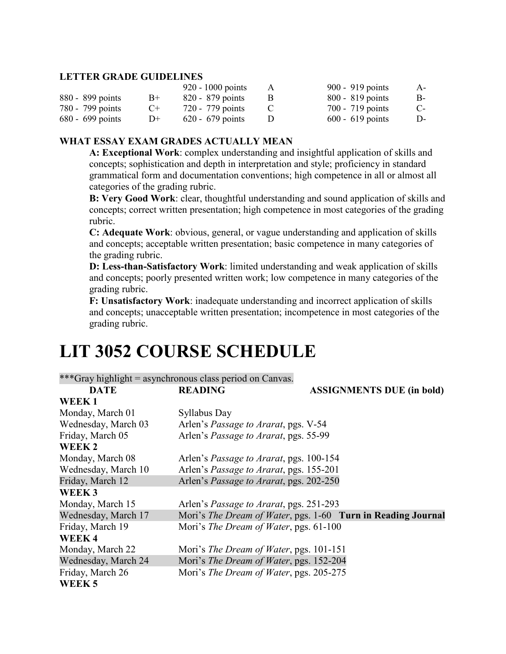#### **LETTER GRADE GUIDELINES**

|                    |           | $920 - 1000$ points | 900 - 919 points   | A-   |
|--------------------|-----------|---------------------|--------------------|------|
| 880 - 899 points   | $B+$      | $820 - 879$ points  | $800 - 819$ points | B-   |
| 780 - 799 points   | $C_{\pm}$ | 720 - 779 points    | $700 - 719$ points | $C-$ |
| $680 - 699$ points | $D+$      | $620 - 679$ points  | $600 - 619$ points | D-   |

#### **WHAT ESSAY EXAM GRADES ACTUALLY MEAN**

**A: Exceptional Work**: complex understanding and insightful application of skills and concepts; sophistication and depth in interpretation and style; proficiency in standard grammatical form and documentation conventions; high competence in all or almost all categories of the grading rubric.

**B: Very Good Work**: clear, thoughtful understanding and sound application of skills and concepts; correct written presentation; high competence in most categories of the grading rubric.

**C: Adequate Work**: obvious, general, or vague understanding and application of skills and concepts; acceptable written presentation; basic competence in many categories of the grading rubric.

**D: Less-than-Satisfactory Work**: limited understanding and weak application of skills and concepts; poorly presented written work; low competence in many categories of the grading rubric.

**F: Unsatisfactory Work**: inadequate understanding and incorrect application of skills and concepts; unacceptable written presentation; incompetence in most categories of the grading rubric.

## **LIT 3052 COURSE SCHEDULE**

| ***Gray highlight = asynchronous class period on Canvas. |                                                 |                                                              |  |  |
|----------------------------------------------------------|-------------------------------------------------|--------------------------------------------------------------|--|--|
| <b>DATE</b>                                              | <b>READING</b>                                  | <b>ASSIGNMENTS DUE (in bold)</b>                             |  |  |
| WEEK1                                                    |                                                 |                                                              |  |  |
| Monday, March 01                                         | Syllabus Day                                    |                                                              |  |  |
| Wednesday, March 03                                      | Arlen's <i>Passage to Ararat</i> , pgs. V-54    |                                                              |  |  |
| Friday, March 05                                         | Arlen's Passage to Ararat, pgs. 55-99           |                                                              |  |  |
| WEEK 2                                                   |                                                 |                                                              |  |  |
| Monday, March 08                                         | Arlen's <i>Passage to Ararat</i> , pgs. 100-154 |                                                              |  |  |
| Wednesday, March 10                                      | Arlen's Passage to Ararat, pgs. 155-201         |                                                              |  |  |
| Friday, March 12                                         | Arlen's Passage to Ararat, pgs. 202-250         |                                                              |  |  |
| WEEK <sub>3</sub>                                        |                                                 |                                                              |  |  |
| Monday, March 15                                         | Arlen's <i>Passage to Ararat</i> , pgs. 251-293 |                                                              |  |  |
| Wednesday, March 17                                      |                                                 | Mori's The Dream of Water, pgs. 1-60 Turn in Reading Journal |  |  |
| Friday, March 19                                         | Mori's The Dream of Water, pgs. 61-100          |                                                              |  |  |
| <b>WEEK4</b>                                             |                                                 |                                                              |  |  |
| Monday, March 22                                         | Mori's <i>The Dream of Water</i> , pgs. 101-151 |                                                              |  |  |
| Wednesday, March 24                                      | Mori's The Dream of Water, pgs. 152-204         |                                                              |  |  |
| Friday, March 26                                         | Mori's The Dream of Water, pgs. 205-275         |                                                              |  |  |
| WEEK <sub>5</sub>                                        |                                                 |                                                              |  |  |